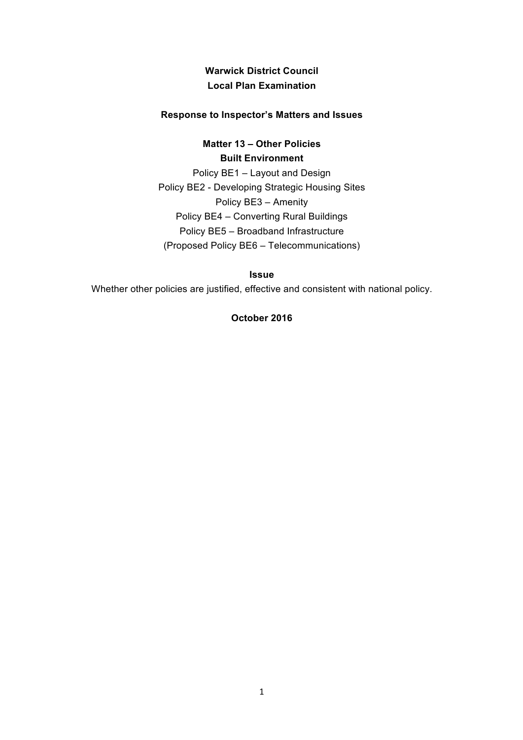# **Warwick District Council Local Plan Examination**

#### **Response to Inspector's Matters and Issues**

**Matter 13 – Other Policies Built Environment**

Policy BE1 – Layout and Design Policy BE2 - Developing Strategic Housing Sites Policy BE3 – Amenity Policy BE4 – Converting Rural Buildings Policy BE5 – Broadband Infrastructure (Proposed Policy BE6 – Telecommunications)

**Issue**

Whether other policies are justified, effective and consistent with national policy.

#### **October 2016**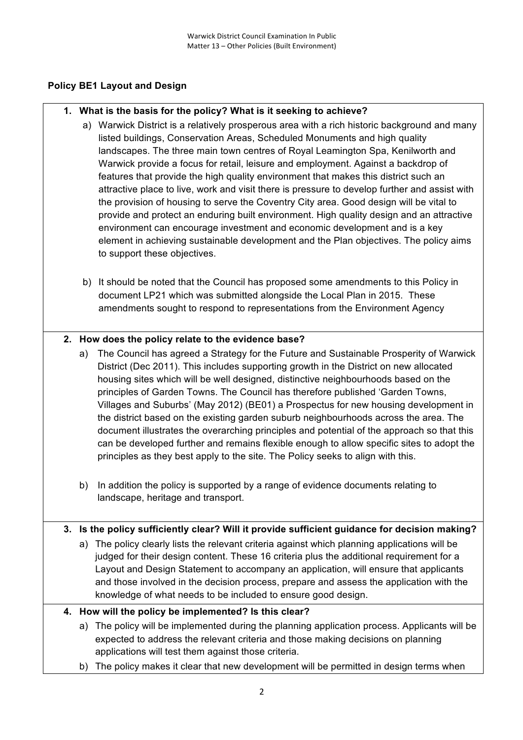## **Policy BE1 Layout and Design**

### **1. What is the basis for the policy? What is it seeking to achieve?**

- a) Warwick District is a relatively prosperous area with a rich historic background and many listed buildings, Conservation Areas, Scheduled Monuments and high quality landscapes. The three main town centres of Royal Leamington Spa, Kenilworth and Warwick provide a focus for retail, leisure and employment. Against a backdrop of features that provide the high quality environment that makes this district such an attractive place to live, work and visit there is pressure to develop further and assist with the provision of housing to serve the Coventry City area. Good design will be vital to provide and protect an enduring built environment. High quality design and an attractive environment can encourage investment and economic development and is a key element in achieving sustainable development and the Plan objectives. The policy aims to support these objectives.
- b) It should be noted that the Council has proposed some amendments to this Policy in document LP21 which was submitted alongside the Local Plan in 2015. These amendments sought to respond to representations from the Environment Agency

### **2. How does the policy relate to the evidence base?**

- a) The Council has agreed a Strategy for the Future and Sustainable Prosperity of Warwick District (Dec 2011). This includes supporting growth in the District on new allocated housing sites which will be well designed, distinctive neighbourhoods based on the principles of Garden Towns. The Council has therefore published 'Garden Towns, Villages and Suburbs' (May 2012) (BE01) a Prospectus for new housing development in the district based on the existing garden suburb neighbourhoods across the area. The document illustrates the overarching principles and potential of the approach so that this can be developed further and remains flexible enough to allow specific sites to adopt the principles as they best apply to the site. The Policy seeks to align with this.
- b) In addition the policy is supported by a range of evidence documents relating to landscape, heritage and transport.

#### **3. Is the policy sufficiently clear? Will it provide sufficient guidance for decision making?**

a) The policy clearly lists the relevant criteria against which planning applications will be judged for their design content. These 16 criteria plus the additional requirement for a Layout and Design Statement to accompany an application, will ensure that applicants and those involved in the decision process, prepare and assess the application with the knowledge of what needs to be included to ensure good design.

#### **4. How will the policy be implemented? Is this clear?**

- a) The policy will be implemented during the planning application process. Applicants will be expected to address the relevant criteria and those making decisions on planning applications will test them against those criteria.
- b) The policy makes it clear that new development will be permitted in design terms when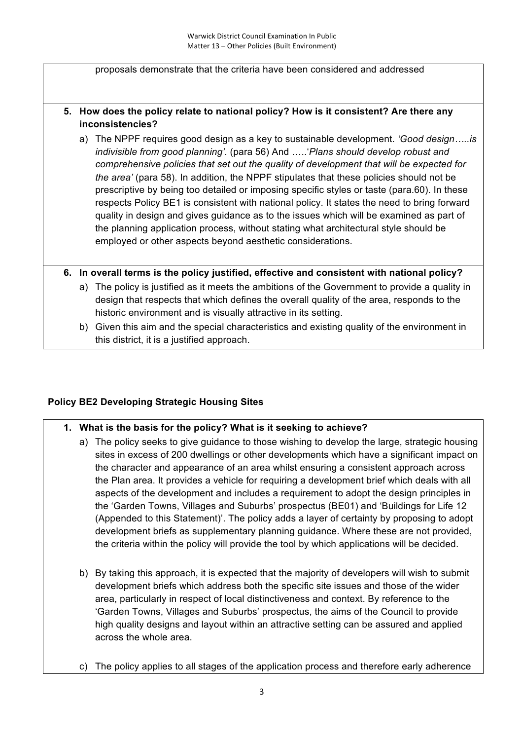proposals demonstrate that the criteria have been considered and addressed

# **5. How does the policy relate to national policy? How is it consistent? Are there any inconsistencies?**

a) The NPPF requires good design as a key to sustainable development. *'Good design…..is indivisible from good planning'.* (para 56) And …..'*Plans should develop robust and comprehensive policies that set out the quality of development that will be expected for the area'* (para 58). In addition, the NPPF stipulates that these policies should not be prescriptive by being too detailed or imposing specific styles or taste (para.60). In these respects Policy BE1 is consistent with national policy. It states the need to bring forward quality in design and gives guidance as to the issues which will be examined as part of the planning application process, without stating what architectural style should be employed or other aspects beyond aesthetic considerations.

### **6. In overall terms is the policy justified, effective and consistent with national policy?**

- a) The policy is justified as it meets the ambitions of the Government to provide a quality in design that respects that which defines the overall quality of the area, responds to the historic environment and is visually attractive in its setting.
- b) Given this aim and the special characteristics and existing quality of the environment in this district, it is a justified approach.

## **Policy BE2 Developing Strategic Housing Sites**

## **1. What is the basis for the policy? What is it seeking to achieve?**

- a) The policy seeks to give guidance to those wishing to develop the large, strategic housing sites in excess of 200 dwellings or other developments which have a significant impact on the character and appearance of an area whilst ensuring a consistent approach across the Plan area. It provides a vehicle for requiring a development brief which deals with all aspects of the development and includes a requirement to adopt the design principles in the 'Garden Towns, Villages and Suburbs' prospectus (BE01) and 'Buildings for Life 12 (Appended to this Statement)'. The policy adds a layer of certainty by proposing to adopt development briefs as supplementary planning guidance. Where these are not provided, the criteria within the policy will provide the tool by which applications will be decided.
- b) By taking this approach, it is expected that the majority of developers will wish to submit development briefs which address both the specific site issues and those of the wider area, particularly in respect of local distinctiveness and context. By reference to the 'Garden Towns, Villages and Suburbs' prospectus, the aims of the Council to provide high quality designs and layout within an attractive setting can be assured and applied across the whole area.
- c) The policy applies to all stages of the application process and therefore early adherence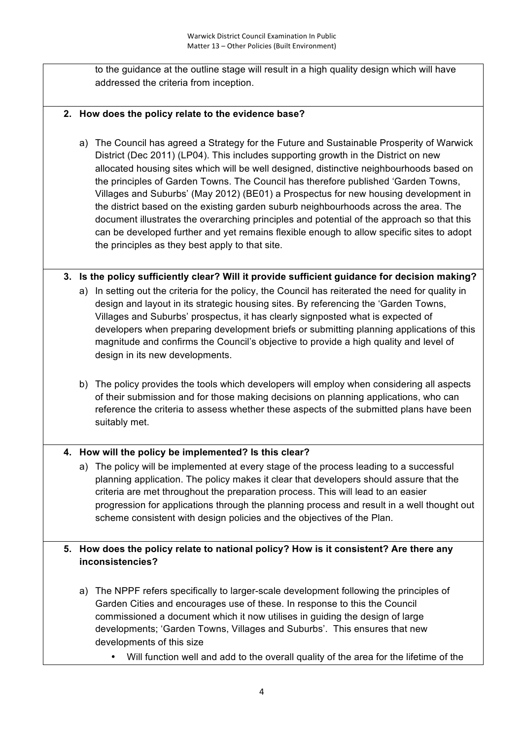to the guidance at the outline stage will result in a high quality design which will have addressed the criteria from inception.

# **2. How does the policy relate to the evidence base?**

- a) The Council has agreed a Strategy for the Future and Sustainable Prosperity of Warwick District (Dec 2011) (LP04). This includes supporting growth in the District on new allocated housing sites which will be well designed, distinctive neighbourhoods based on the principles of Garden Towns. The Council has therefore published 'Garden Towns, Villages and Suburbs' (May 2012) (BE01) a Prospectus for new housing development in the district based on the existing garden suburb neighbourhoods across the area. The document illustrates the overarching principles and potential of the approach so that this can be developed further and yet remains flexible enough to allow specific sites to adopt the principles as they best apply to that site.
- **3. Is the policy sufficiently clear? Will it provide sufficient guidance for decision making?**
	- a) In setting out the criteria for the policy, the Council has reiterated the need for quality in design and layout in its strategic housing sites. By referencing the 'Garden Towns, Villages and Suburbs' prospectus, it has clearly signposted what is expected of developers when preparing development briefs or submitting planning applications of this magnitude and confirms the Council's objective to provide a high quality and level of design in its new developments.
	- b) The policy provides the tools which developers will employ when considering all aspects of their submission and for those making decisions on planning applications, who can reference the criteria to assess whether these aspects of the submitted plans have been suitably met.

## **4. How will the policy be implemented? Is this clear?**

a) The policy will be implemented at every stage of the process leading to a successful planning application. The policy makes it clear that developers should assure that the criteria are met throughout the preparation process. This will lead to an easier progression for applications through the planning process and result in a well thought out scheme consistent with design policies and the objectives of the Plan.

# **5. How does the policy relate to national policy? How is it consistent? Are there any inconsistencies?**

- a) The NPPF refers specifically to larger-scale development following the principles of Garden Cities and encourages use of these. In response to this the Council commissioned a document which it now utilises in guiding the design of large developments; 'Garden Towns, Villages and Suburbs'. This ensures that new developments of this size
	- Will function well and add to the overall quality of the area for the lifetime of the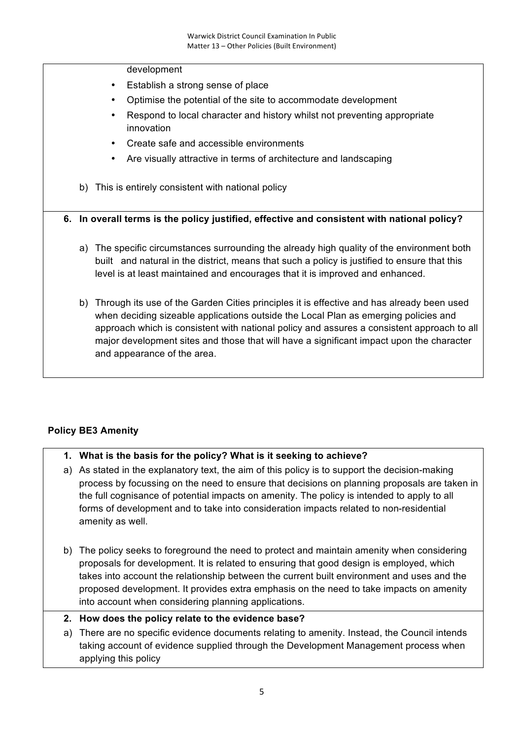#### development

- Establish a strong sense of place
- Optimise the potential of the site to accommodate development
- Respond to local character and history whilst not preventing appropriate innovation
- Create safe and accessible environments
- Are visually attractive in terms of architecture and landscaping
- b) This is entirely consistent with national policy

### **6. In overall terms is the policy justified, effective and consistent with national policy?**

- a) The specific circumstances surrounding the already high quality of the environment both built and natural in the district, means that such a policy is justified to ensure that this level is at least maintained and encourages that it is improved and enhanced.
- b) Through its use of the Garden Cities principles it is effective and has already been used when deciding sizeable applications outside the Local Plan as emerging policies and approach which is consistent with national policy and assures a consistent approach to all major development sites and those that will have a significant impact upon the character and appearance of the area.

## **Policy BE3 Amenity**

## **1. What is the basis for the policy? What is it seeking to achieve?**

- a) As stated in the explanatory text, the aim of this policy is to support the decision-making process by focussing on the need to ensure that decisions on planning proposals are taken in the full cognisance of potential impacts on amenity. The policy is intended to apply to all forms of development and to take into consideration impacts related to non-residential amenity as well.
- b) The policy seeks to foreground the need to protect and maintain amenity when considering proposals for development. It is related to ensuring that good design is employed, which takes into account the relationship between the current built environment and uses and the proposed development. It provides extra emphasis on the need to take impacts on amenity into account when considering planning applications.
- **2. How does the policy relate to the evidence base?**
- a) There are no specific evidence documents relating to amenity. Instead, the Council intends taking account of evidence supplied through the Development Management process when applying this policy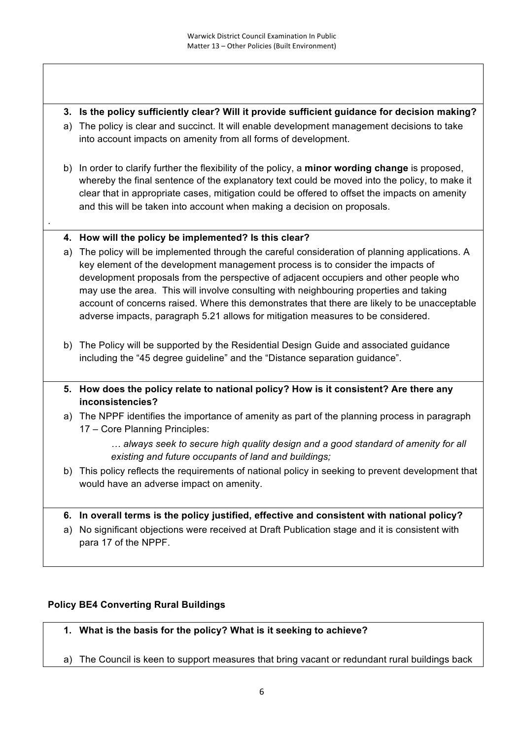- **3. Is the policy sufficiently clear? Will it provide sufficient guidance for decision making?**
- a) The policy is clear and succinct. It will enable development management decisions to take into account impacts on amenity from all forms of development.
- b) In order to clarify further the flexibility of the policy, a **minor wording change** is proposed, whereby the final sentence of the explanatory text could be moved into the policy, to make it clear that in appropriate cases, mitigation could be offered to offset the impacts on amenity and this will be taken into account when making a decision on proposals.

## **4. How will the policy be implemented? Is this clear?**

.

- a) The policy will be implemented through the careful consideration of planning applications. A key element of the development management process is to consider the impacts of development proposals from the perspective of adjacent occupiers and other people who may use the area. This will involve consulting with neighbouring properties and taking account of concerns raised. Where this demonstrates that there are likely to be unacceptable adverse impacts, paragraph 5.21 allows for mitigation measures to be considered.
- b) The Policy will be supported by the Residential Design Guide and associated guidance including the "45 degree guideline" and the "Distance separation guidance".
- **5. How does the policy relate to national policy? How is it consistent? Are there any inconsistencies?**
- a) The NPPF identifies the importance of amenity as part of the planning process in paragraph 17 – Core Planning Principles:
	- *… always seek to secure high quality design and a good standard of amenity for all existing and future occupants of land and buildings;*
- b) This policy reflects the requirements of national policy in seeking to prevent development that would have an adverse impact on amenity.

## **6. In overall terms is the policy justified, effective and consistent with national policy?**

a) No significant objections were received at Draft Publication stage and it is consistent with para 17 of the NPPF.

## **Policy BE4 Converting Rural Buildings**

- **1. What is the basis for the policy? What is it seeking to achieve?**
- a) The Council is keen to support measures that bring vacant or redundant rural buildings back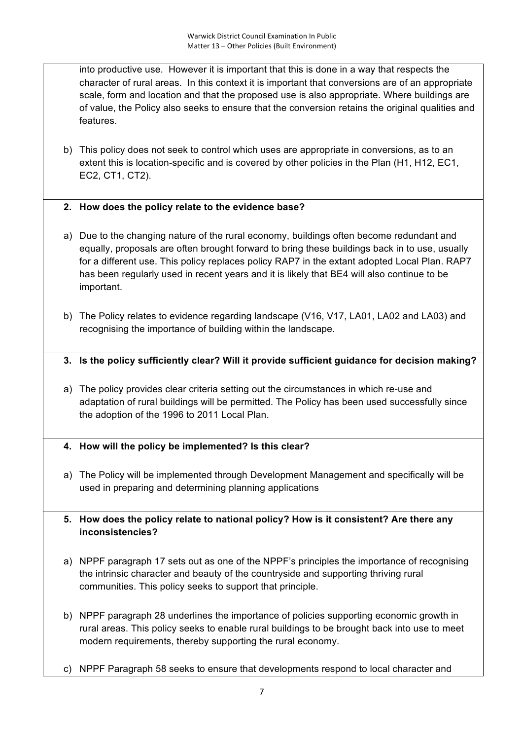into productive use. However it is important that this is done in a way that respects the character of rural areas. In this context it is important that conversions are of an appropriate scale, form and location and that the proposed use is also appropriate. Where buildings are of value, the Policy also seeks to ensure that the conversion retains the original qualities and features.

- b) This policy does not seek to control which uses are appropriate in conversions, as to an extent this is location-specific and is covered by other policies in the Plan (H1, H12, EC1, EC2, CT1, CT2).
- **2. How does the policy relate to the evidence base?**
- a) Due to the changing nature of the rural economy, buildings often become redundant and equally, proposals are often brought forward to bring these buildings back in to use, usually for a different use. This policy replaces policy RAP7 in the extant adopted Local Plan. RAP7 has been regularly used in recent years and it is likely that BE4 will also continue to be important.
- b) The Policy relates to evidence regarding landscape (V16, V17, LA01, LA02 and LA03) and recognising the importance of building within the landscape.
- **3. Is the policy sufficiently clear? Will it provide sufficient guidance for decision making?**
- a) The policy provides clear criteria setting out the circumstances in which re-use and adaptation of rural buildings will be permitted. The Policy has been used successfully since the adoption of the 1996 to 2011 Local Plan.
- **4. How will the policy be implemented? Is this clear?**
- a) The Policy will be implemented through Development Management and specifically will be used in preparing and determining planning applications
- **5. How does the policy relate to national policy? How is it consistent? Are there any inconsistencies?**
- a) NPPF paragraph 17 sets out as one of the NPPF's principles the importance of recognising the intrinsic character and beauty of the countryside and supporting thriving rural communities. This policy seeks to support that principle.
- b) NPPF paragraph 28 underlines the importance of policies supporting economic growth in rural areas. This policy seeks to enable rural buildings to be brought back into use to meet modern requirements, thereby supporting the rural economy.
- c) NPPF Paragraph 58 seeks to ensure that developments respond to local character and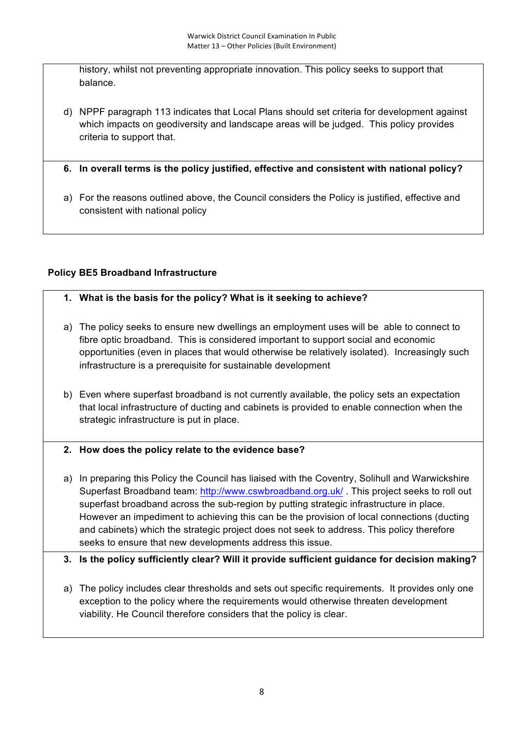history, whilst not preventing appropriate innovation. This policy seeks to support that balance.

d) NPPF paragraph 113 indicates that Local Plans should set criteria for development against which impacts on geodiversity and landscape areas will be judged. This policy provides criteria to support that.

**6. In overall terms is the policy justified, effective and consistent with national policy?**

a) For the reasons outlined above, the Council considers the Policy is justified, effective and consistent with national policy

# **Policy BE5 Broadband Infrastructure**

## **1. What is the basis for the policy? What is it seeking to achieve?**

- a) The policy seeks to ensure new dwellings an employment uses will be able to connect to fibre optic broadband. This is considered important to support social and economic opportunities (even in places that would otherwise be relatively isolated). Increasingly such infrastructure is a prerequisite for sustainable development
- b) Even where superfast broadband is not currently available, the policy sets an expectation that local infrastructure of ducting and cabinets is provided to enable connection when the strategic infrastructure is put in place.

## **2. How does the policy relate to the evidence base?**

- a) In preparing this Policy the Council has liaised with the Coventry, Solihull and Warwickshire Superfast Broadband team: http://www.cswbroadband.org.uk/. This project seeks to roll out superfast broadband across the sub-region by putting strategic infrastructure in place. However an impediment to achieving this can be the provision of local connections (ducting and cabinets) which the strategic project does not seek to address. This policy therefore seeks to ensure that new developments address this issue.
- **3. Is the policy sufficiently clear? Will it provide sufficient guidance for decision making?**
- a) The policy includes clear thresholds and sets out specific requirements. It provides only one exception to the policy where the requirements would otherwise threaten development viability. He Council therefore considers that the policy is clear.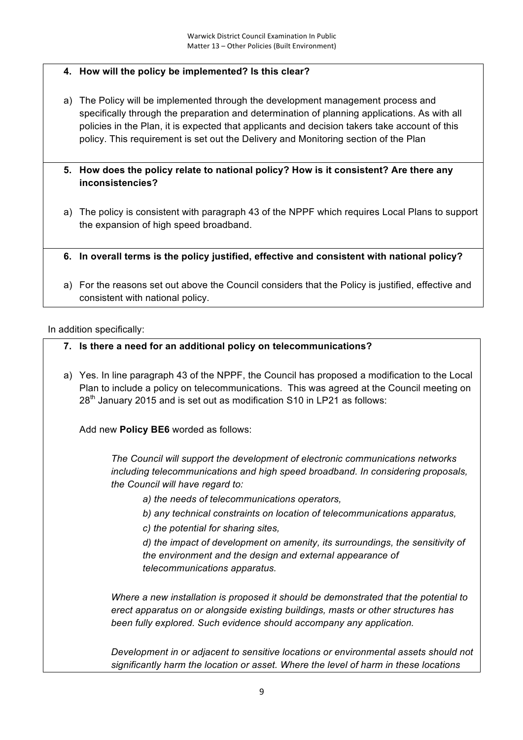# **4. How will the policy be implemented? Is this clear?**

- a) The Policy will be implemented through the development management process and specifically through the preparation and determination of planning applications. As with all policies in the Plan, it is expected that applicants and decision takers take account of this policy. This requirement is set out the Delivery and Monitoring section of the Plan
- **5. How does the policy relate to national policy? How is it consistent? Are there any inconsistencies?**
- a) The policy is consistent with paragraph 43 of the NPPF which requires Local Plans to support the expansion of high speed broadband.
- **6. In overall terms is the policy justified, effective and consistent with national policy?**
- a) For the reasons set out above the Council considers that the Policy is justified, effective and consistent with national policy.

In addition specifically:

- **7. Is there a need for an additional policy on telecommunications?**
- a) Yes. In line paragraph 43 of the NPPF, the Council has proposed a modification to the Local Plan to include a policy on telecommunications. This was agreed at the Council meeting on 28<sup>th</sup> January 2015 and is set out as modification S10 in LP21 as follows:

Add new **Policy BE6** worded as follows:

*The Council will support the development of electronic communications networks including telecommunications and high speed broadband. In considering proposals, the Council will have regard to:*

- *a) the needs of telecommunications operators,*
- *b) any technical constraints on location of telecommunications apparatus,*
- *c) the potential for sharing sites,*

*d) the impact of development on amenity, its surroundings, the sensitivity of the environment and the design and external appearance of telecommunications apparatus.*

*Where a new installation is proposed it should be demonstrated that the potential to erect apparatus on or alongside existing buildings, masts or other structures has been fully explored. Such evidence should accompany any application.*

*Development in or adjacent to sensitive locations or environmental assets should not significantly harm the location or asset. Where the level of harm in these locations*